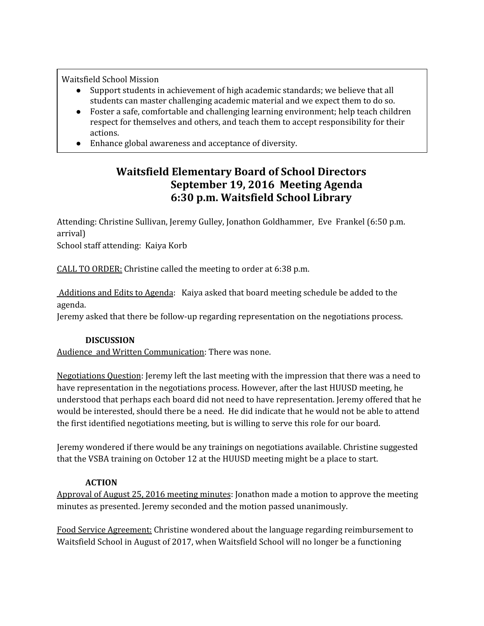Waitsfield School Mission

- Support students in achievement of high academic standards; we believe that all students can master challenging academic material and we expect them to do so.
- Foster a safe, comfortable and challenging learning environment; help teach children respect for themselves and others, and teach them to accept responsibility for their actions.
- Enhance global awareness and acceptance of diversity.

## **Waitsfield Elementary Board of School Directors September 19, 2016 Meeting Agenda 6:30 p.m. Waitsfield School Library**

Attending: Christine Sullivan, Jeremy Gulley, Jonathon Goldhammer, Eve Frankel (6:50 p.m. arrival)

School staff attending: Kaiya Korb

CALL TO ORDER: Christine called the meeting to order at 6:38 p.m.

 Additions and Edits to Agenda: Kaiya asked that board meeting schedule be added to the agenda.

Jeremy asked that there be follow-up regarding representation on the negotiations process.

## **DISCUSSION**

Audience and Written Communication: There was none.

Negotiations Question: Jeremy left the last meeting with the impression that there was a need to have representation in the negotiations process. However, after the last HUUSD meeting, he understood that perhaps each board did not need to have representation. Jeremy offered that he would be interested, should there be a need. He did indicate that he would not be able to attend the first identified negotiations meeting, but is willing to serve this role for our board.

Jeremy wondered if there would be any trainings on negotiations available. Christine suggested that the VSBA training on October 12 at the HUUSD meeting might be a place to start.

## **ACTION**

Approval of August 25, 2016 meeting minutes: Jonathon made a motion to approve the meeting minutes as presented. Jeremy seconded and the motion passed unanimously.

Food Service Agreement: Christine wondered about the language regarding reimbursement to Waitsfield School in August of 2017, when Waitsfield School will no longer be a functioning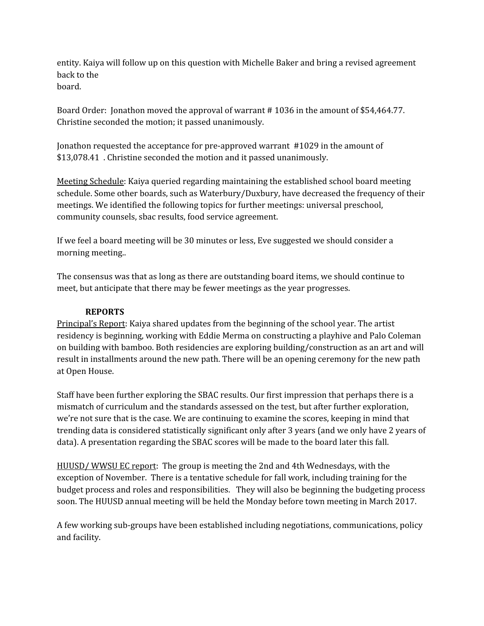entity. Kaiya will follow up on this question with Michelle Baker and bring a revised agreement back to the board.

Board Order: Jonathon moved the approval of warrant # 1036 in the amount of \$54,464.77. Christine seconded the motion; it passed unanimously.

Jonathon requested the acceptance for pre-approved warrant #1029 in the amount of \$13,078.41 . Christine seconded the motion and it passed unanimously.

Meeting Schedule: Kaiya queried regarding maintaining the established school board meeting schedule. Some other boards, such as Waterbury/Duxbury, have decreased the frequency of their meetings. We identified the following topics for further meetings: universal preschool, community counsels, sbac results, food service agreement.

If we feel a board meeting will be 30 minutes or less, Eve suggested we should consider a morning meeting..

The consensus was that as long as there are outstanding board items, we should continue to meet, but anticipate that there may be fewer meetings as the year progresses.

## **REPORTS**

Principal's Report: Kaiya shared updates from the beginning of the school year. The artist residency is beginning, working with Eddie Merma on constructing a playhive and Palo Coleman on building with bamboo. Both residencies are exploring building/construction as an art and will result in installments around the new path. There will be an opening ceremony for the new path at Open House.

Staff have been further exploring the SBAC results. Our first impression that perhaps there is a mismatch of curriculum and the standards assessed on the test, but after further exploration, we're not sure that is the case. We are continuing to examine the scores, keeping in mind that trending data is considered statistically significant only after 3 years (and we only have 2 years of data). A presentation regarding the SBAC scores will be made to the board later this fall.

HUUSD/ WWSU EC report: The group is meeting the 2nd and 4th Wednesdays, with the exception of November. There is a tentative schedule for fall work, including training for the budget process and roles and responsibilities. They will also be beginning the budgeting process soon. The HUUSD annual meeting will be held the Monday before town meeting in March 2017.

A few working sub-groups have been established including negotiations, communications, policy and facility.